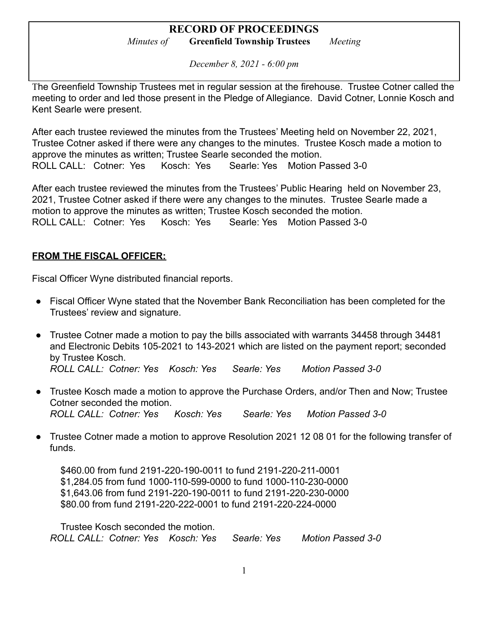*December 8, 2021 - 6:00 pm*

The Greenfield Township Trustees met in regular session at the firehouse. Trustee Cotner called the meeting to order and led those present in the Pledge of Allegiance. David Cotner, Lonnie Kosch and Kent Searle were present.

After each trustee reviewed the minutes from the Trustees' Meeting held on November 22, 2021, Trustee Cotner asked if there were any changes to the minutes. Trustee Kosch made a motion to approve the minutes as written; Trustee Searle seconded the motion. ROLL CALL: Cotner: Yes Kosch: Yes Searle: Yes Motion Passed 3-0

After each trustee reviewed the minutes from the Trustees' Public Hearing held on November 23, 2021, Trustee Cotner asked if there were any changes to the minutes. Trustee Searle made a motion to approve the minutes as written; Trustee Kosch seconded the motion. ROLL CALL: Cotner: Yes Kosch: Yes Searle: Yes Motion Passed 3-0

### **FROM THE FISCAL OFFICER:**

Fiscal Officer Wyne distributed financial reports.

- Fiscal Officer Wyne stated that the November Bank Reconciliation has been completed for the Trustees' review and signature.
- Trustee Cotner made a motion to pay the bills associated with warrants 34458 through 34481 and Electronic Debits 105-2021 to 143-2021 which are listed on the payment report; seconded by Trustee Kosch. *ROLL CALL: Cotner: Yes Kosch: Yes Searle: Yes Motion Passed 3-0*
- Trustee Kosch made a motion to approve the Purchase Orders, and/or Then and Now; Trustee Cotner seconded the motion. *ROLL CALL: Cotner: Yes Kosch: Yes Searle: Yes Motion Passed 3-0*
- Trustee Cotner made a motion to approve Resolution 2021 12 08 01 for the following transfer of funds.

\$460.00 from fund 2191-220-190-0011 to fund 2191-220-211-0001 \$1,284.05 from fund 1000-110-599-0000 to fund 1000-110-230-0000 \$1,643.06 from fund 2191-220-190-0011 to fund 2191-220-230-0000 \$80.00 from fund 2191-220-222-0001 to fund 2191-220-224-0000

Trustee Kosch seconded the motion. *ROLL CALL: Cotner: Yes Kosch: Yes Searle: Yes Motion Passed 3-0*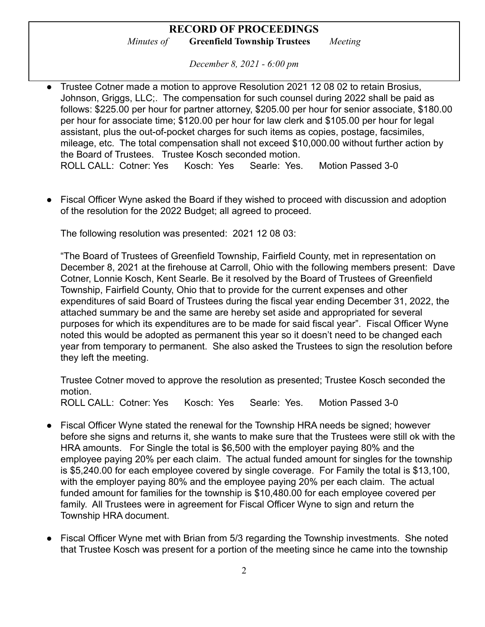*December 8, 2021 - 6:00 pm*

- *●* Trustee Cotner made a motion to approve Resolution 2021 12 08 02 to retain Brosius, Johnson, Griggs, LLC;. The compensation for such counsel during 2022 shall be paid as follows: \$225.00 per hour for partner attorney, \$205.00 per hour for senior associate, \$180.00 per hour for associate time; \$120.00 per hour for law clerk and \$105.00 per hour for legal assistant, plus the out-of-pocket charges for such items as copies, postage, facsimiles, mileage, etc. The total compensation shall not exceed \$10,000.00 without further action by the Board of Trustees. Trustee Kosch seconded motion. ROLL CALL: Cotner: Yes Kosch: Yes Searle: Yes. Motion Passed 3-0
- Fiscal Officer Wyne asked the Board if they wished to proceed with discussion and adoption of the resolution for the 2022 Budget; all agreed to proceed.

The following resolution was presented: 2021 12 08 03:

"The Board of Trustees of Greenfield Township, Fairfield County, met in representation on December 8, 2021 at the firehouse at Carroll, Ohio with the following members present: Dave Cotner, Lonnie Kosch, Kent Searle. Be it resolved by the Board of Trustees of Greenfield Township, Fairfield County, Ohio that to provide for the current expenses and other expenditures of said Board of Trustees during the fiscal year ending December 31, 2022, the attached summary be and the same are hereby set aside and appropriated for several purposes for which its expenditures are to be made for said fiscal year". Fiscal Officer Wyne noted this would be adopted as permanent this year so it doesn't need to be changed each year from temporary to permanent. She also asked the Trustees to sign the resolution before they left the meeting.

Trustee Cotner moved to approve the resolution as presented; Trustee Kosch seconded the motion.

ROLL CALL: Cotner: Yes Kosch: Yes Searle: Yes. Motion Passed 3-0

- Fiscal Officer Wyne stated the renewal for the Township HRA needs be signed; however before she signs and returns it, she wants to make sure that the Trustees were still ok with the HRA amounts. For Single the total is \$6,500 with the employer paying 80% and the employee paying 20% per each claim. The actual funded amount for singles for the township is \$5,240.00 for each employee covered by single coverage. For Family the total is \$13,100, with the employer paying 80% and the employee paying 20% per each claim. The actual funded amount for families for the township is \$10,480.00 for each employee covered per family. All Trustees were in agreement for Fiscal Officer Wyne to sign and return the Township HRA document.
- Fiscal Officer Wyne met with Brian from 5/3 regarding the Township investments. She noted that Trustee Kosch was present for a portion of the meeting since he came into the township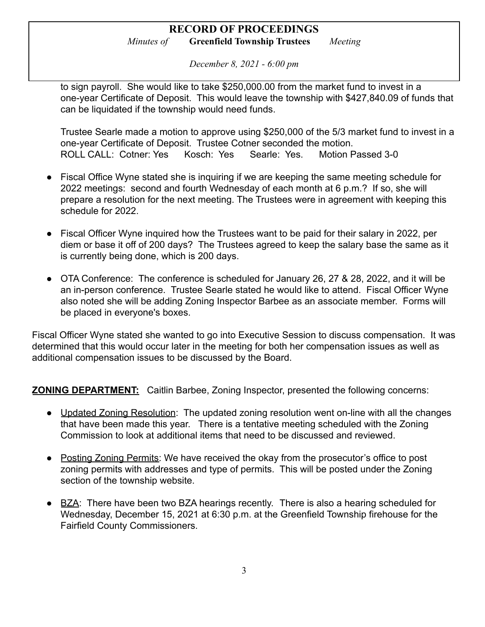*December 8, 2021 - 6:00 pm*

to sign payroll. She would like to take \$250,000.00 from the market fund to invest in a one-year Certificate of Deposit. This would leave the township with \$427,840.09 of funds that can be liquidated if the township would need funds.

Trustee Searle made a motion to approve using \$250,000 of the 5/3 market fund to invest in a one-year Certificate of Deposit. Trustee Cotner seconded the motion. ROLL CALL: Cotner: Yes Kosch: Yes Searle: Yes. Motion Passed 3-0

- Fiscal Office Wyne stated she is inquiring if we are keeping the same meeting schedule for 2022 meetings: second and fourth Wednesday of each month at 6 p.m.? If so, she will prepare a resolution for the next meeting. The Trustees were in agreement with keeping this schedule for 2022.
- Fiscal Officer Wyne inquired how the Trustees want to be paid for their salary in 2022, per diem or base it off of 200 days? The Trustees agreed to keep the salary base the same as it is currently being done, which is 200 days.
- OTA Conference: The conference is scheduled for January 26, 27 & 28, 2022, and it will be an in-person conference. Trustee Searle stated he would like to attend. Fiscal Officer Wyne also noted she will be adding Zoning Inspector Barbee as an associate member. Forms will be placed in everyone's boxes.

Fiscal Officer Wyne stated she wanted to go into Executive Session to discuss compensation. It was determined that this would occur later in the meeting for both her compensation issues as well as additional compensation issues to be discussed by the Board.

**ZONING DEPARTMENT:** Caitlin Barbee, Zoning Inspector, presented the following concerns:

- Updated Zoning Resolution: The updated zoning resolution went on-line with all the changes that have been made this year. There is a tentative meeting scheduled with the Zoning Commission to look at additional items that need to be discussed and reviewed.
- Posting Zoning Permits: We have received the okay from the prosecutor's office to post zoning permits with addresses and type of permits. This will be posted under the Zoning section of the township website.
- BZA: There have been two BZA hearings recently. There is also a hearing scheduled for Wednesday, December 15, 2021 at 6:30 p.m. at the Greenfield Township firehouse for the Fairfield County Commissioners.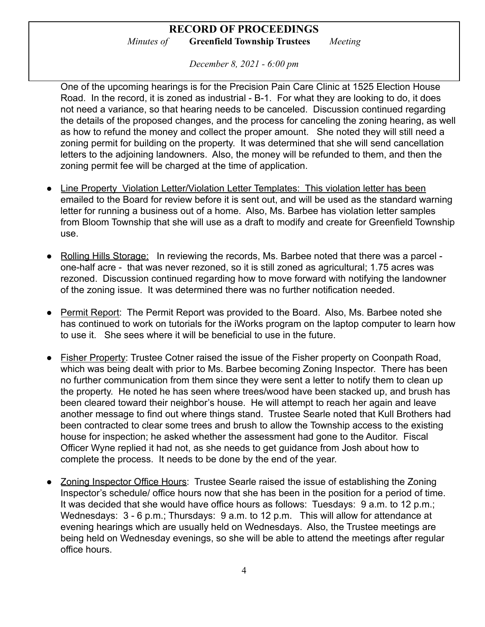*December 8, 2021 - 6:00 pm*

One of the upcoming hearings is for the Precision Pain Care Clinic at 1525 Election House Road. In the record, it is zoned as industrial - B-1. For what they are looking to do, it does not need a variance, so that hearing needs to be canceled. Discussion continued regarding the details of the proposed changes, and the process for canceling the zoning hearing, as well as how to refund the money and collect the proper amount. She noted they will still need a zoning permit for building on the property. It was determined that she will send cancellation letters to the adjoining landowners. Also, the money will be refunded to them, and then the zoning permit fee will be charged at the time of application.

- Line Property Violation Letter/Violation Letter Templates: This violation letter has been emailed to the Board for review before it is sent out, and will be used as the standard warning letter for running a business out of a home. Also, Ms. Barbee has violation letter samples from Bloom Township that she will use as a draft to modify and create for Greenfield Township use.
- Rolling Hills Storage: In reviewing the records, Ms. Barbee noted that there was a parcel one-half acre - that was never rezoned, so it is still zoned as agricultural; 1.75 acres was rezoned. Discussion continued regarding how to move forward with notifying the landowner of the zoning issue. It was determined there was no further notification needed.
- Permit Report: The Permit Report was provided to the Board. Also, Ms. Barbee noted she has continued to work on tutorials for the iWorks program on the laptop computer to learn how to use it. She sees where it will be beneficial to use in the future.
- Fisher Property: Trustee Cotner raised the issue of the Fisher property on Coonpath Road, which was being dealt with prior to Ms. Barbee becoming Zoning Inspector. There has been no further communication from them since they were sent a letter to notify them to clean up the property. He noted he has seen where trees/wood have been stacked up, and brush has been cleared toward their neighbor's house. He will attempt to reach her again and leave another message to find out where things stand. Trustee Searle noted that Kull Brothers had been contracted to clear some trees and brush to allow the Township access to the existing house for inspection; he asked whether the assessment had gone to the Auditor. Fiscal Officer Wyne replied it had not, as she needs to get guidance from Josh about how to complete the process. It needs to be done by the end of the year.
- Zoning Inspector Office Hours: Trustee Searle raised the issue of establishing the Zoning Inspector's schedule/ office hours now that she has been in the position for a period of time. It was decided that she would have office hours as follows: Tuesdays: 9 a.m. to 12 p.m.; Wednesdays: 3 - 6 p.m.; Thursdays: 9 a.m. to 12 p.m. This will allow for attendance at evening hearings which are usually held on Wednesdays. Also, the Trustee meetings are being held on Wednesday evenings, so she will be able to attend the meetings after regular office hours.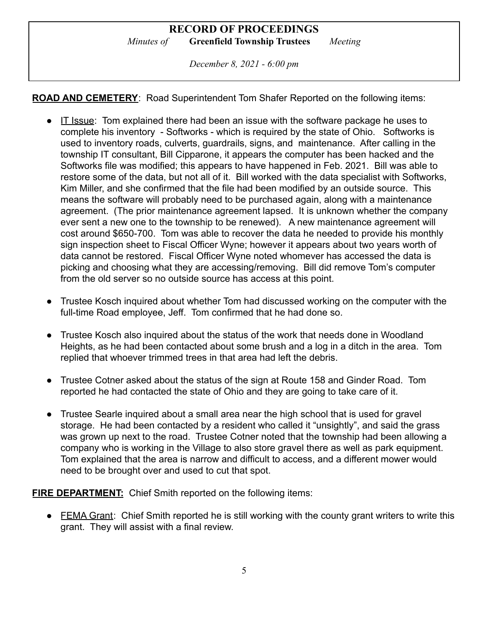*December 8, 2021 - 6:00 pm*

**ROAD AND CEMETERY**: Road Superintendent Tom Shafer Reported on the following items:

- $\bullet$  IT Issue: Tom explained there had been an issue with the software package he uses to complete his inventory - Softworks - which is required by the state of Ohio. Softworks is used to inventory roads, culverts, guardrails, signs, and maintenance. After calling in the township IT consultant, Bill Cipparone, it appears the computer has been hacked and the Softworks file was modified; this appears to have happened in Feb. 2021. Bill was able to restore some of the data, but not all of it. Bill worked with the data specialist with Softworks, Kim Miller, and she confirmed that the file had been modified by an outside source. This means the software will probably need to be purchased again, along with a maintenance agreement. (The prior maintenance agreement lapsed. It is unknown whether the company ever sent a new one to the township to be renewed). A new maintenance agreement will cost around \$650-700. Tom was able to recover the data he needed to provide his monthly sign inspection sheet to Fiscal Officer Wyne; however it appears about two years worth of data cannot be restored. Fiscal Officer Wyne noted whomever has accessed the data is picking and choosing what they are accessing/removing. Bill did remove Tom's computer from the old server so no outside source has access at this point.
- Trustee Kosch inquired about whether Tom had discussed working on the computer with the full-time Road employee, Jeff. Tom confirmed that he had done so.
- Trustee Kosch also inquired about the status of the work that needs done in Woodland Heights, as he had been contacted about some brush and a log in a ditch in the area. Tom replied that whoever trimmed trees in that area had left the debris.
- Trustee Cotner asked about the status of the sign at Route 158 and Ginder Road. Tom reported he had contacted the state of Ohio and they are going to take care of it.
- Trustee Searle inquired about a small area near the high school that is used for gravel storage. He had been contacted by a resident who called it "unsightly", and said the grass was grown up next to the road. Trustee Cotner noted that the township had been allowing a company who is working in the Village to also store gravel there as well as park equipment. Tom explained that the area is narrow and difficult to access, and a different mower would need to be brought over and used to cut that spot.

**FIRE DEPARTMENT:** Chief Smith reported on the following items:

● FEMA Grant: Chief Smith reported he is still working with the county grant writers to write this grant. They will assist with a final review.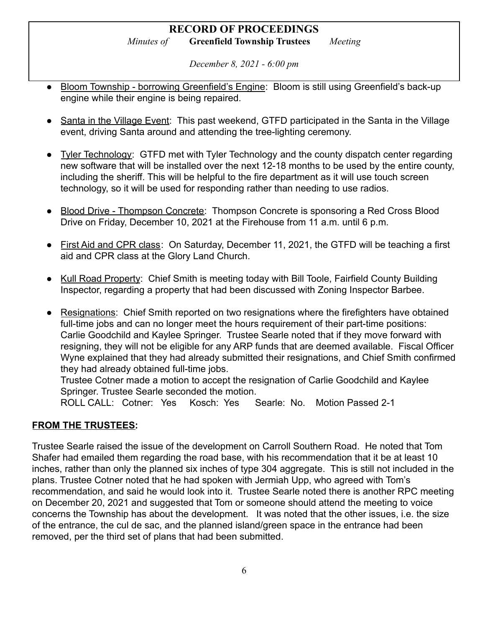## **RECORD OF PROCEEDINGS**

*Minutes of* **Greenfield Township Trustees** *Meeting*

*December 8, 2021 - 6:00 pm*

- Bloom Township borrowing Greenfield's Engine: Bloom is still using Greenfield's back-up engine while their engine is being repaired.
- Santa in the Village Event: This past weekend, GTFD participated in the Santa in the Village event, driving Santa around and attending the tree-lighting ceremony.
- Tyler Technology: GTFD met with Tyler Technology and the county dispatch center regarding new software that will be installed over the next 12-18 months to be used by the entire county, including the sheriff. This will be helpful to the fire department as it will use touch screen technology, so it will be used for responding rather than needing to use radios.
- Blood Drive Thompson Concrete: Thompson Concrete is sponsoring a Red Cross Blood Drive on Friday, December 10, 2021 at the Firehouse from 11 a.m. until 6 p.m.
- First Aid and CPR class: On Saturday, December 11, 2021, the GTFD will be teaching a first aid and CPR class at the Glory Land Church.
- Kull Road Property: Chief Smith is meeting today with Bill Toole, Fairfield County Building Inspector, regarding a property that had been discussed with Zoning Inspector Barbee.
- Resignations: Chief Smith reported on two resignations where the firefighters have obtained full-time jobs and can no longer meet the hours requirement of their part-time positions: Carlie Goodchild and Kaylee Springer. Trustee Searle noted that if they move forward with resigning, they will not be eligible for any ARP funds that are deemed available. Fiscal Officer Wyne explained that they had already submitted their resignations, and Chief Smith confirmed they had already obtained full-time jobs.

Trustee Cotner made a motion to accept the resignation of Carlie Goodchild and Kaylee Springer. Trustee Searle seconded the motion.

ROLL CALL: Cotner: Yes Kosch: Yes Searle: No. Motion Passed 2-1

## **FROM THE TRUSTEES:**

Trustee Searle raised the issue of the development on Carroll Southern Road. He noted that Tom Shafer had emailed them regarding the road base, with his recommendation that it be at least 10 inches, rather than only the planned six inches of type 304 aggregate. This is still not included in the plans. Trustee Cotner noted that he had spoken with Jermiah Upp, who agreed with Tom's recommendation, and said he would look into it. Trustee Searle noted there is another RPC meeting on December 20, 2021 and suggested that Tom or someone should attend the meeting to voice concerns the Township has about the development. It was noted that the other issues, i.e. the size of the entrance, the cul de sac, and the planned island/green space in the entrance had been removed, per the third set of plans that had been submitted.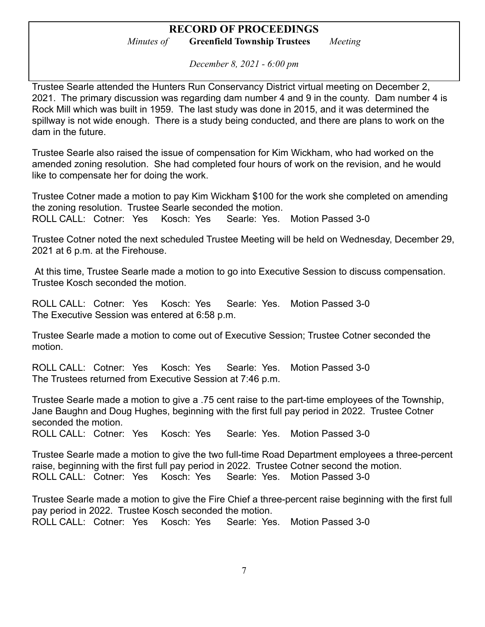*December 8, 2021 - 6:00 pm*

Trustee Searle attended the Hunters Run Conservancy District virtual meeting on December 2, 2021. The primary discussion was regarding dam number 4 and 9 in the county. Dam number 4 is Rock Mill which was built in 1959. The last study was done in 2015, and it was determined the spillway is not wide enough. There is a study being conducted, and there are plans to work on the dam in the future.

Trustee Searle also raised the issue of compensation for Kim Wickham, who had worked on the amended zoning resolution. She had completed four hours of work on the revision, and he would like to compensate her for doing the work.

Trustee Cotner made a motion to pay Kim Wickham \$100 for the work she completed on amending the zoning resolution. Trustee Searle seconded the motion. ROLL CALL: Cotner: Yes Kosch: Yes Searle: Yes. Motion Passed 3-0

Trustee Cotner noted the next scheduled Trustee Meeting will be held on Wednesday, December 29, 2021 at 6 p.m. at the Firehouse.

At this time, Trustee Searle made a motion to go into Executive Session to discuss compensation. Trustee Kosch seconded the motion.

ROLL CALL: Cotner: Yes Kosch: Yes Searle: Yes. Motion Passed 3-0 The Executive Session was entered at 6:58 p.m.

Trustee Searle made a motion to come out of Executive Session; Trustee Cotner seconded the motion.

ROLL CALL: Cotner: Yes Kosch: Yes Searle: Yes. Motion Passed 3-0 The Trustees returned from Executive Session at 7:46 p.m.

Trustee Searle made a motion to give a .75 cent raise to the part-time employees of the Township, Jane Baughn and Doug Hughes, beginning with the first full pay period in 2022. Trustee Cotner seconded the motion.

ROLL CALL: Cotner: Yes Kosch: Yes Searle: Yes. Motion Passed 3-0

Trustee Searle made a motion to give the two full-time Road Department employees a three-percent raise, beginning with the first full pay period in 2022. Trustee Cotner second the motion. ROLL CALL: Cotner: Yes Kosch: Yes Searle: Yes. Motion Passed 3-0

Trustee Searle made a motion to give the Fire Chief a three-percent raise beginning with the first full pay period in 2022. Trustee Kosch seconded the motion. ROLL CALL: Cotner: Yes Kosch: Yes Searle: Yes. Motion Passed 3-0